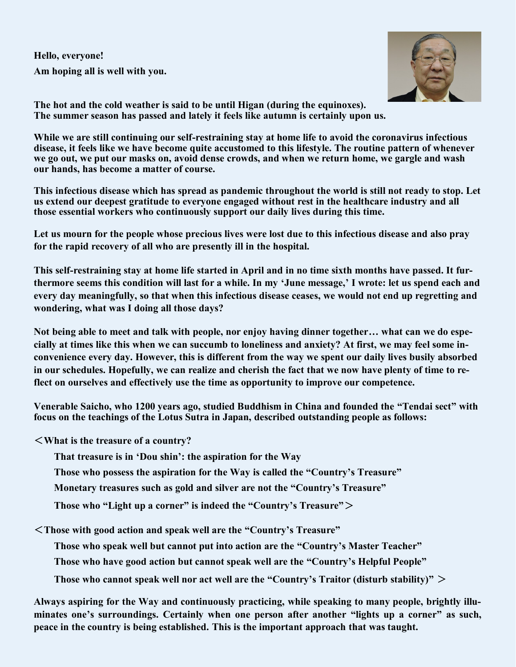**Hello, everyone! Am hoping all is well with you.**



**The hot and the cold weather is said to be until Higan (during the equinoxes). The summer season has passed and lately it feels like autumn is certainly upon us.** 

**While we are still continuing our self-restraining stay at home life to avoid the coronavirus infectious disease, it feels like we have become quite accustomed to this lifestyle. The routine pattern of whenever we go out, we put our masks on, avoid dense crowds, and when we return home, we gargle and wash our hands, has become a matter of course.**

**This infectious disease which has spread as pandemic throughout the world is still not ready to stop. Let us extend our deepest gratitude to everyone engaged without rest in the healthcare industry and all those essential workers who continuously support our daily lives during this time.**

**Let us mourn for the people whose precious lives were lost due to this infectious disease and also pray for the rapid recovery of all who are presently ill in the hospital.** 

**This self-restraining stay at home life started in April and in no time sixth months have passed. It furthermore seems this condition will last for a while. In my 'June message,' I wrote: let us spend each and every day meaningfully, so that when this infectious disease ceases, we would not end up regretting and wondering, what was I doing all those days?**

**Not being able to meet and talk with people, nor enjoy having dinner together… what can we do especially at times like this when we can succumb to loneliness and anxiety? At first, we may feel some inconvenience every day. However, this is different from the way we spent our daily lives busily absorbed in our schedules. Hopefully, we can realize and cherish the fact that we now have plenty of time to reflect on ourselves and effectively use the time as opportunity to improve our competence.** 

**Venerable Saicho, who 1200 years ago, studied Buddhism in China and founded the "Tendai sect" with focus on the teachings of the Lotus Sutra in Japan, described outstanding people as follows:** 

<**What is the treasure of a country?** 

**That treasure is in 'Dou shin': the aspiration for the Way**

**Those who possess the aspiration for the Way is called the "Country's Treasure"**

**Monetary treasures such as gold and silver are not the "Country's Treasure"**

**Those who "Light up a corner" is indeed the "Country's Treasure"**>

<**Those with good action and speak well are the "Country's Treasure"** 

**Those who speak well but cannot put into action are the "Country's Master Teacher"**

**Those who have good action but cannot speak well are the "Country's Helpful People"** 

**Those who cannot speak well nor act well are the "Country's Traitor (disturb stability)"** >

**Always aspiring for the Way and continuously practicing, while speaking to many people, brightly illuminates one's surroundings. Certainly when one person after another "lights up a corner" as such, peace in the country is being established. This is the important approach that was taught.**